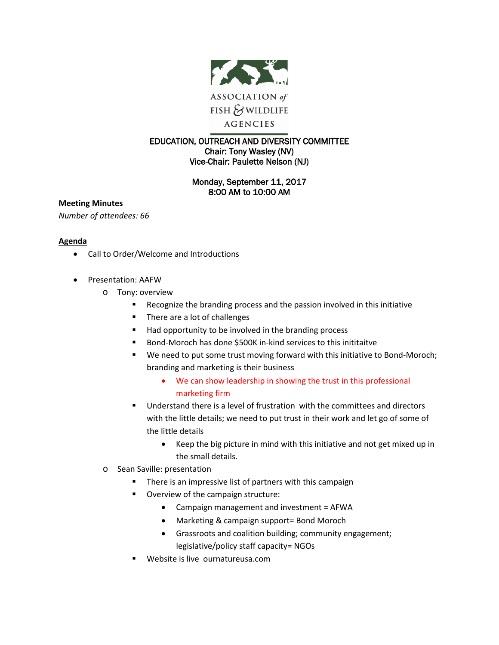

## EDUCATION, OUTREACH AND DIVERSITY COMMITTEE Chair: Tony Wasley (NV) Vice-Chair: Paulette Nelson (NJ)

## Monday, September 11, 2017 8:00 AM to 10:00 AM

**Meeting Minutes** *Number of attendees: 66*

## **Agenda**

- Call to Order/Welcome and Introductions
- Presentation: AAFW
	- o Tony: overview
		- Recognize the branding process and the passion involved in this initiative
		- There are a lot of challenges
		- Had opportunity to be involved in the branding process
		- Bond-Moroch has done \$500K in-kind services to this inititaitve
		- We need to put some trust moving forward with this initiative to Bond-Moroch; branding and marketing is their business
			- We can show leadership in showing the trust in this professional marketing firm
		- Understand there is a level of frustration with the committees and directors with the little details; we need to put trust in their work and let go of some of the little details
			- Keep the big picture in mind with this initiative and not get mixed up in the small details.
	- o Sean Saville: presentation
		- **There is an impressive list of partners with this campaign**
		- **Overview of the campaign structure:** 
			- Campaign management and investment = AFWA
			- Marketing & campaign support= Bond Moroch
			- Grassroots and coalition building; community engagement; legislative/policy staff capacity= NGOs
		- Website is live ournatureusa.com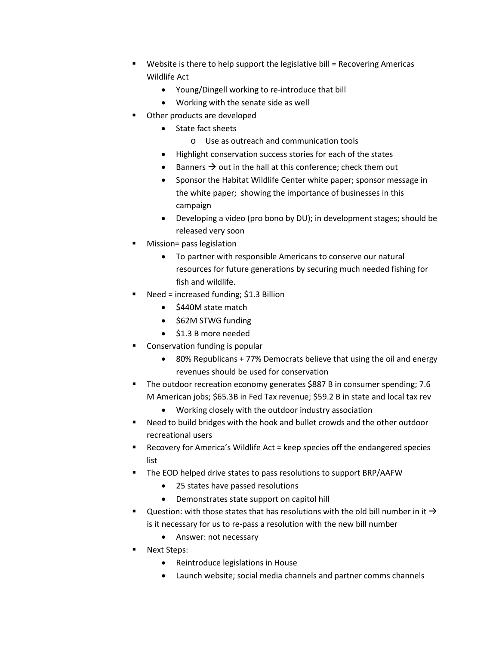- Website is there to help support the legislative bill = Recovering Americas Wildlife Act
	- Young/Dingell working to re-introduce that bill
	- Working with the senate side as well
- Other products are developed
	- State fact sheets
		- o Use as outreach and communication tools
	- Highlight conservation success stories for each of the states
	- Banners  $\rightarrow$  out in the hall at this conference; check them out
	- Sponsor the Habitat Wildlife Center white paper; sponsor message in the white paper; showing the importance of businesses in this campaign
	- Developing a video (pro bono by DU); in development stages; should be released very soon
- Mission= pass legislation
	- To partner with responsible Americans to conserve our natural resources for future generations by securing much needed fishing for fish and wildlife.
- Need = increased funding; \$1.3 Billion
	- \$440M state match
	- \$62M STWG funding
	- \$1.3 B more needed
- Conservation funding is popular
	- 80% Republicans + 77% Democrats believe that using the oil and energy revenues should be used for conservation
- The outdoor recreation economy generates \$887 B in consumer spending; 7.6 M American jobs; \$65.3B in Fed Tax revenue; \$59.2 B in state and local tax rev
	- Working closely with the outdoor industry association
- Need to build bridges with the hook and bullet crowds and the other outdoor recreational users
- Recovery for America's Wildlife Act = keep species off the endangered species list
- The EOD helped drive states to pass resolutions to support BRP/AAFW
	- 25 states have passed resolutions
	- Demonstrates state support on capitol hill
- Question: with those states that has resolutions with the old bill number in it  $\rightarrow$ is it necessary for us to re-pass a resolution with the new bill number
	- Answer: not necessary
- Next Steps:
	- Reintroduce legislations in House
	- Launch website; social media channels and partner comms channels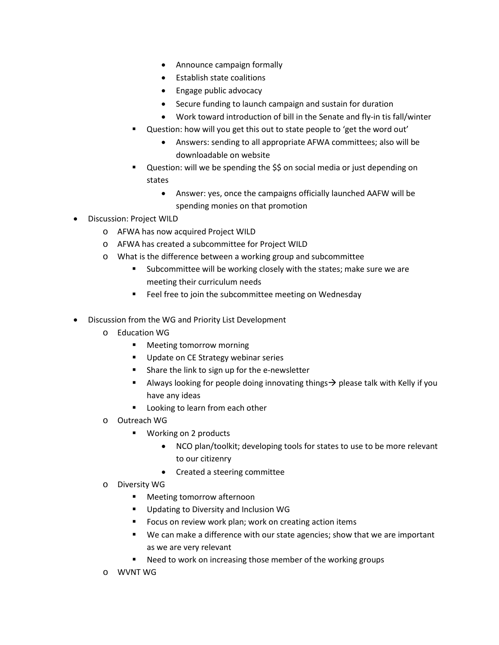- Announce campaign formally
- Establish state coalitions
- Engage public advocacy
- Secure funding to launch campaign and sustain for duration
- Work toward introduction of bill in the Senate and fly-in tis fall/winter
- Question: how will you get this out to state people to 'get the word out'
	- Answers: sending to all appropriate AFWA committees; also will be downloadable on website
- Question: will we be spending the \$\$ on social media or just depending on states
	- Answer: yes, once the campaigns officially launched AAFW will be spending monies on that promotion
- Discussion: Project WILD
	- o AFWA has now acquired Project WILD
	- o AFWA has created a subcommittee for Project WILD
	- o What is the difference between a working group and subcommittee
		- Subcommittee will be working closely with the states; make sure we are meeting their curriculum needs
		- **Feel free to join the subcommittee meeting on Wednesday**
- Discussion from the WG and Priority List Development
	- o Education WG
		- **Meeting tomorrow morning**
		- Update on CE Strategy webinar series
		- **F** Share the link to sign up for the e-newsletter
		- Always looking for people doing innovating things  $\rightarrow$  please talk with Kelly if you have any ideas
		- **Looking to learn from each other**
	- o Outreach WG
		- Working on 2 products
			- NCO plan/toolkit; developing tools for states to use to be more relevant to our citizenry
			- Created a steering committee
	- o Diversity WG
		- **Meeting tomorrow afternoon**
		- **Updating to Diversity and Inclusion WG**
		- Focus on review work plan; work on creating action items
		- We can make a difference with our state agencies; show that we are important as we are very relevant
		- Need to work on increasing those member of the working groups
	- o WVNT WG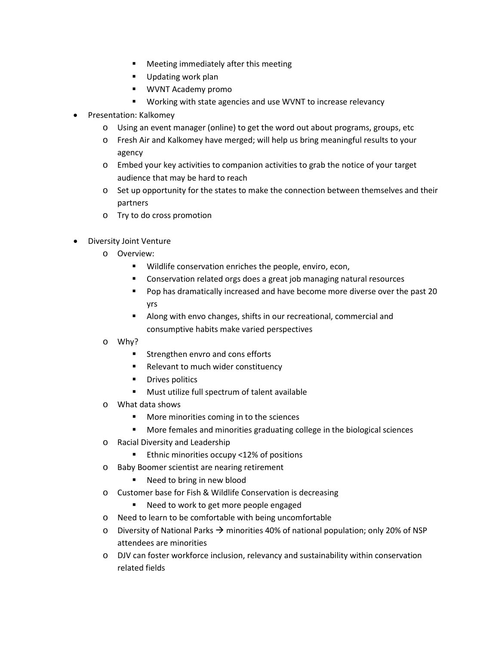- Meeting immediately after this meeting
- **Updating work plan**
- WVNT Academy promo
- Working with state agencies and use WVNT to increase relevancy
- Presentation: Kalkomey
	- o Using an event manager (online) to get the word out about programs, groups, etc
	- o Fresh Air and Kalkomey have merged; will help us bring meaningful results to your agency
	- o Embed your key activities to companion activities to grab the notice of your target audience that may be hard to reach
	- o Set up opportunity for the states to make the connection between themselves and their partners
	- o Try to do cross promotion
- Diversity Joint Venture
	- o Overview:
		- Wildlife conservation enriches the people, enviro, econ,
		- **EXP** Conservation related orgs does a great job managing natural resources
		- **Pop has dramatically increased and have become more diverse over the past 20** yrs
		- Along with envo changes, shifts in our recreational, commercial and consumptive habits make varied perspectives
	- o Why?
		- **EXECUTE:** Strengthen envro and cons efforts
		- **Relevant to much wider constituency**
		- **•** Drives politics
		- Must utilize full spectrum of talent available
	- o What data shows
		- More minorities coming in to the sciences
		- More females and minorities graduating college in the biological sciences
	- o Racial Diversity and Leadership
		- Ethnic minorities occupy <12% of positions
	- o Baby Boomer scientist are nearing retirement
		- Need to bring in new blood
	- o Customer base for Fish & Wildlife Conservation is decreasing
		- Need to work to get more people engaged
	- o Need to learn to be comfortable with being uncomfortable
	- $\circ$  Diversity of National Parks  $\rightarrow$  minorities 40% of national population; only 20% of NSP attendees are minorities
	- o DJV can foster workforce inclusion, relevancy and sustainability within conservation related fields